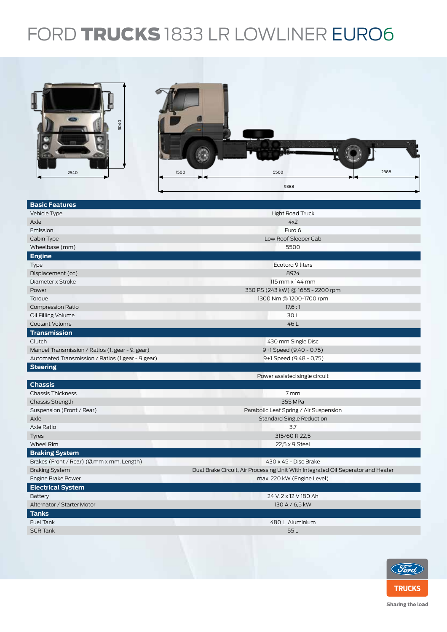## FORD TRUCKS 1833 LR LOWLINER EURO6



| <b>Basic Features</b>                             |                                                                                  |  |  |  |
|---------------------------------------------------|----------------------------------------------------------------------------------|--|--|--|
| Vehicle Type                                      | Light Road Truck                                                                 |  |  |  |
| Axle                                              | 4x2                                                                              |  |  |  |
| Emission                                          | Euro 6                                                                           |  |  |  |
| Cabin Type                                        | Low Roof Sleeper Cab                                                             |  |  |  |
| Wheelbase (mm)                                    | 5500                                                                             |  |  |  |
| <b>Engine</b>                                     |                                                                                  |  |  |  |
| Type                                              | Ecotorg 9 liters                                                                 |  |  |  |
| Displacement (cc)                                 | 8974                                                                             |  |  |  |
| Diameter x Stroke                                 | $115$ mm $\times$ 144 mm                                                         |  |  |  |
| Power                                             | 330 PS (243 kW) @ 1655 - 2200 rpm                                                |  |  |  |
| Torque                                            | 1300 Nm @ 1200-1700 rpm                                                          |  |  |  |
| <b>Compression Ratio</b>                          | 17.6:1                                                                           |  |  |  |
| Oil Filling Volume                                | 30L                                                                              |  |  |  |
| Coolant Volume                                    | 46L                                                                              |  |  |  |
| <b>Transmission</b>                               |                                                                                  |  |  |  |
| Clutch                                            | 430 mm Single Disc                                                               |  |  |  |
| Manuel Transmission / Ratios (1. gear - 9. gear)  | 9+1 Speed (9,40 - 0,75)                                                          |  |  |  |
| Automated Transmission / Ratios (1.gear - 9 gear) | 9+1 Speed (9,48 - 0,75)                                                          |  |  |  |
| <b>Steering</b>                                   |                                                                                  |  |  |  |
|                                                   | Power assisted single circuit                                                    |  |  |  |
| <b>Chassis</b>                                    |                                                                                  |  |  |  |
| <b>Chassis Thickness</b>                          | 7 mm                                                                             |  |  |  |
| <b>Chassis Strength</b>                           | 355 MPa                                                                          |  |  |  |
| Suspension (Front / Rear)                         | Parabolic Leaf Spring / Air Suspension                                           |  |  |  |
| Axle                                              | <b>Standard Single Reduction</b>                                                 |  |  |  |
| Axle Ratio                                        | 3,7                                                                              |  |  |  |
| <b>Tyres</b>                                      | 315/60 R 22,5                                                                    |  |  |  |
| Wheel Rim                                         | 22,5 x 9 Steel                                                                   |  |  |  |
| <b>Braking System</b>                             |                                                                                  |  |  |  |
| Brakes (Front / Rear) (Ø.mm x mm. Length)         | 430 x 45 - Disc Brake                                                            |  |  |  |
| <b>Braking System</b>                             | Dual Brake Circuit, Air Processing Unit With Integrated Oil Seperator and Heater |  |  |  |
| Engine Brake Power                                | max. 220 kW (Engine Level)                                                       |  |  |  |
| <b>Electrical System</b>                          |                                                                                  |  |  |  |
| <b>Battery</b>                                    | 24 V, 2 x 12 V 180 Ah                                                            |  |  |  |
| Alternator / Starter Motor                        | 130 A / 6,5 kW                                                                   |  |  |  |
| <b>Tanks</b>                                      |                                                                                  |  |  |  |
| Fuel Tank                                         | 480 L Aluminium                                                                  |  |  |  |
| <b>SCR Tank</b>                                   | 55L                                                                              |  |  |  |
|                                                   |                                                                                  |  |  |  |
|                                                   |                                                                                  |  |  |  |